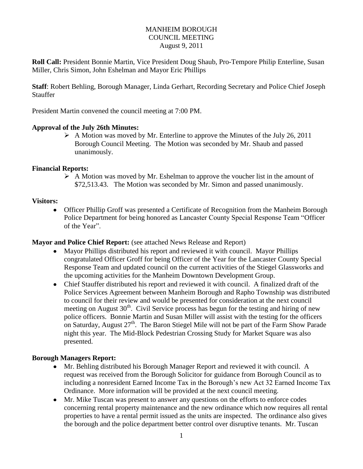## MANHEIM BOROUGH COUNCIL MEETING August 9, 2011

**Roll Call:** President Bonnie Martin, Vice President Doug Shaub, Pro-Tempore Philip Enterline, Susan Miller, Chris Simon, John Eshelman and Mayor Eric Phillips

**Staff**: Robert Behling, Borough Manager, Linda Gerhart, Recording Secretary and Police Chief Joseph Stauffer

President Martin convened the council meeting at 7:00 PM.

### **Approval of the July 26th Minutes:**

 $\triangleright$  A Motion was moved by Mr. Enterline to approve the Minutes of the July 26, 2011 Borough Council Meeting. The Motion was seconded by Mr. Shaub and passed unanimously.

### **Financial Reports:**

 $\triangleright$  A Motion was moved by Mr. Eshelman to approve the voucher list in the amount of \$72,513.43. The Motion was seconded by Mr. Simon and passed unanimously.

### **Visitors:**

Officer Phillip Groff was presented a Certificate of Recognition from the Manheim Borough Police Department for being honored as Lancaster County Special Response Team "Officer of the Year".

### **Mayor and Police Chief Report:** (see attached News Release and Report)

- Mayor Phillips distributed his report and reviewed it with council. Mayor Phillips congratulated Officer Groff for being Officer of the Year for the Lancaster County Special Response Team and updated council on the current activities of the Stiegel Glassworks and the upcoming activities for the Manheim Downtown Development Group.
- Chief Stauffer distributed his report and reviewed it with council. A finalized draft of the Police Services Agreement between Manheim Borough and Rapho Township was distributed to council for their review and would be presented for consideration at the next council meeting on August  $30<sup>th</sup>$ . Civil Service process has begun for the testing and hiring of new police officers. Bonnie Martin and Susan Miller will assist with the testing for the officers on Saturday, August 27<sup>th</sup>. The Baron Stiegel Mile will not be part of the Farm Show Parade night this year. The Mid-Block Pedestrian Crossing Study for Market Square was also presented.

# **Borough Managers Report:**

- Mr. Behling distributed his Borough Manager Report and reviewed it with council. A request was received from the Borough Solicitor for guidance from Borough Council as to including a nonresident Earned Income Tax in the Borough's new Act 32 Earned Income Tax Ordinance. More information will be provided at the next council meeting.
- Mr. Mike Tuscan was present to answer any questions on the efforts to enforce codes concerning rental property maintenance and the new ordinance which now requires all rental properties to have a rental permit issued as the units are inspected. The ordinance also gives the borough and the police department better control over disruptive tenants. Mr. Tuscan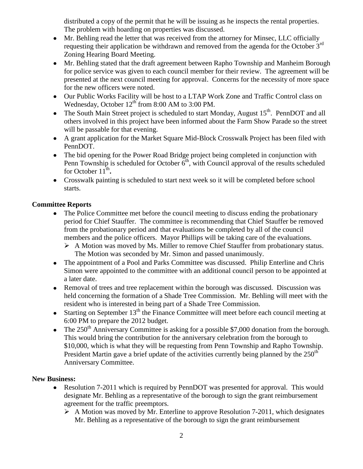distributed a copy of the permit that he will be issuing as he inspects the rental properties. The problem with hoarding on properties was discussed.

- Mr. Behling read the letter that was received from the attorney for Minsec, LLC officially requesting their application be withdrawn and removed from the agenda for the October 3rd Zoning Hearing Board Meeting.
- Mr. Behling stated that the draft agreement between Rapho Township and Manheim Borough for police service was given to each council member for their review. The agreement will be presented at the next council meeting for approval. Concerns for the necessity of more space for the new officers were noted.
- Our Public Works Facility will be host to a LTAP Work Zone and Traffic Control class on Wednesday, October  $12<sup>th</sup>$  from 8:00 AM to 3:00 PM.
- The South Main Street project is scheduled to start Monday, August  $15<sup>th</sup>$ . PennDOT and all others involved in this project have been informed about the Farm Show Parade so the street will be passable for that evening.
- A grant application for the Market Square Mid-Block Crosswalk Project has been filed with PennDOT.
- The bid opening for the Power Road Bridge project being completed in conjunction with Penn Township is scheduled for October  $6<sup>th</sup>$ , with Council approval of the results scheduled for October 11<sup>th</sup>.
- Crosswalk painting is scheduled to start next week so it will be completed before school starts.

# **Committee Reports**

- The Police Committee met before the council meeting to discuss ending the probationary period for Chief Stauffer. The committee is recommending that Chief Stauffer be removed from the probationary period and that evaluations be completed by all of the council members and the police officers. Mayor Phillips will be taking care of the evaluations.
	- $\triangleright$  A Motion was moved by Ms. Miller to remove Chief Stauffer from probationary status. The Motion was seconded by Mr. Simon and passed unanimously.
- The appointment of a Pool and Parks Committee was discussed. Philip Enterline and Chris Simon were appointed to the committee with an additional council person to be appointed at a later date.
- Removal of trees and tree replacement within the borough was discussed. Discussion was held concerning the formation of a Shade Tree Commission. Mr. Behling will meet with the resident who is interested in being part of a Shade Tree Commission.
- $\bullet$  Starting on September 13<sup>th</sup> the Finance Committee will meet before each council meeting at 6:00 PM to prepare the 2012 budget.
- The  $250<sup>th</sup>$  Anniversary Committee is asking for a possible \$7,000 donation from the borough. This would bring the contribution for the anniversary celebration from the borough to \$10,000, which is what they will be requesting from Penn Township and Rapho Township. President Martin gave a brief update of the activities currently being planned by the  $250<sup>th</sup>$ Anniversary Committee.

# **New Business:**

- Resolution 7-2011 which is required by PennDOT was presented for approval. This would designate Mr. Behling as a representative of the borough to sign the grant reimbursement agreement for the traffic preemptors.
	- $\triangleright$  A Motion was moved by Mr. Enterline to approve Resolution 7-2011, which designates Mr. Behling as a representative of the borough to sign the grant reimbursement